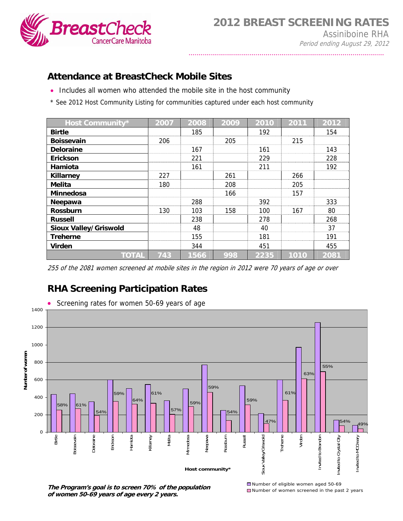

## **Attendance at BreastCheck Mobile Sites**

- Includes all women who attended the mobile site in the host community
- \* See 2012 Host Community Listing for communities captured under each host community

| Host Community*              | 2007 | 2008 | 2009 | 2010 | 2011 | 2012 |
|------------------------------|------|------|------|------|------|------|
| <b>Birtle</b>                |      | 185  |      | 192  |      | 154  |
| <b>Boissevain</b>            | 206  |      | 205  |      | 215  |      |
| <b>Deloraine</b>             |      | 167  |      | 161  |      | 143  |
| Erickson                     |      | 221  |      | 229  |      | 228  |
| Hamiota                      |      | 161  |      | 211  |      | 192  |
| <b>Killarney</b>             | 227  |      | 261  |      | 266  |      |
| <b>Melita</b>                | 180  |      | 208  |      | 205  |      |
| Minnedosa                    |      |      | 166  |      | 157  |      |
| Neepawa                      |      | 288  |      | 392  |      | 333  |
| <b>Rossburn</b>              | 130  | 103  | 158  | 100  | 167  | 80   |
| <b>Russell</b>               |      | 238  |      | 278  |      | 268  |
| <b>Sioux Valley/Griswold</b> |      | 48   |      | 40   |      | 37   |
| <b>Treherne</b>              |      | 155  |      | 181  |      | 191  |
| <b>Virden</b>                |      | 344  |      | 451  |      | 455  |
| <b>TOTAL</b>                 | 743  | 1566 | 998  | 2235 | 1010 | 2081 |

255 of the 2081 women screened at mobile sites in the region in 2012 were 70 years of age or over

## **RHA Screening Participation Rates**



**The Program's goal is to screen 70% of the population of women 50-69 years of age every 2 years.**

Number of eligible women aged 50-69 ■Number of women screened in the past 2 years